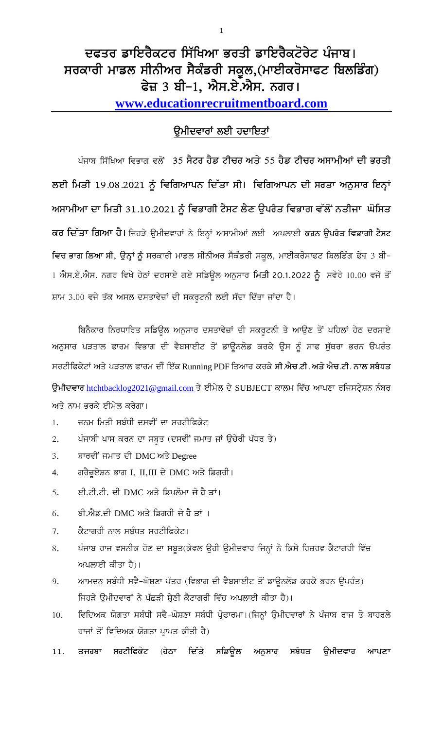## ਦਫਤਰ ਡਾਇਰੈਕਟਰ ਸਿੱਖਿਆ ਭਰਤੀ ਡਾਇਰੈਕਟੋਰੇਟ ਪੰਜਾਬ। ਸਰਕਾਰੀ ਮਾਡਲ ਸੀਨੀਅਰ ਸੈਕੰਡਰੀ ਸਕੂਲ,(ਮਾਈਕਰੋਸਾਫਟ ਬਿਲਡਿੰਗ) ਫੇਜ਼ 3 ਬੀ-1, ਐਸ.ਏ.ਐਸ. ਨਗਰ। www.educationrecruitmentboard.com

## ਉਮੀਦਵਾਰਾਂ ਲਈ ਹਦਾਇਤਾਂ

ਪੰਜਾਬ ਸਿੱਖਿਆ ਵਿਭਾਗ ਵਲੋਂ 35 <mark>ਸੈਟਰ ਹੈਡ ਟੀਚਰ ਅਤੇ 55 ਹੈਡ ਟੀਚਰ ਅਸਾਮੀਆਂ ਦੀ ਭਰਤੀ</mark> ਲਈ ਮਿਤੀ 19.08.2021 ਨੂੰ ਵਿਗਿਆਪਨ ਦਿੱਤਾ ਸੀ। ਵਿਗਿਆਪਨ ਦੀ ਸਰਤਾ ਅਨੁਸਾਰ ਇਨ੍ਹਾਂ ਅਸਾਮੀਆ ਦਾ ਮਿਤੀ 31.10.2021 ਨੂੰ ਵਿਭਾਗੀ ਟੈਸਟ ਲੈਣ ਉਪਰੰਤ ਵਿਭਾਗ ਵੱਲੋਂ ਨਤੀਜਾ ਘੋਸਿਤ ਕਰ ਦਿੱਤਾ ਗਿਆ ਹੈ। ਜਿਹੜੇ ਉਮੀਦਵਾਰਾਂ ਨੇ ਇਨ੍ਹਾਂ ਅਸਾਮੀਆਂ ਲਈ ਅਪਲਾਈ ਕਰਨ ਉਪਰੰਤ ਵਿਭਾਗੀ ਟੈਸਟ ਵਿਚ ਭਾਗ ਲਿਆ ਸੀ, ਉਨ੍ਹਾਂ ਨੂੰ ਸਰਕਾਰੀ ਮਾਡਲ ਸੀਨੀਅਰ ਸੈਕੰਡਰੀ ਸਕੂਲ, ਮਾਈਕਰੋਸਾਫਟ ਬਿਲਡਿੰਗ ਫੇਜ਼ 3 ਬੀ-1 ਐਸ.ਏ.ਐਸ. ਨਗਰ ਵਿਖੇ ਹੇਠਾਂ ਦਰਸਾਏ ਗਏ ਸਡਿਉਲ ਅਨੁਸਾਰ ਮਿਤੀ 20.1.2022 ਨੂੰ ਸਵੇਰੇ 10.00 ਵਜੇ ਤੋਂ ਸ਼ਾਮ 3.00 ਵਜੇ ਤੱਕ ਅਸਲ ਦਸਤਾਵੇਜ਼ਾਂ ਦੀ ਸਕਰੂਟਨੀ ਲਈ ਸੱਦਾ ਦਿੱਤਾ ਜਾਂਦਾ ਹੈ।

ਬਿਨੈਕਾਰ ਨਿਰਧਾਰਿਤ ਸਡਿਉਲ ਅਨੁਸਾਰ ਦਸਤਾਵੇਜ਼ਾਂ ਦੀ ਸਕਰੂਟਨੀ ਤੇ ਆਉਣ ਤੋਂ ਪਹਿਲਾਂ ਹੇਠ ਦਰਸਾਏ ਅਨੁਸਾਰ ਪੜਤਾਲ ਫਾਰਮ ਵਿਭਾਗ ਦੀ ਵੈਬਸਾਈਟ ਤੋਂ ਡਾਉਨਲੋਡ ਕਰਕੇ ਉਸ ਨੂੰ ਸਾਫ ਸੁੱਥਰਾ ਭਰਨ ੳਪਰੰਤ ਸਰਟੀਫਿਕੇਟਾਂ ਅਤੇ ਪੜਤਾਲ ਫਾਰਮ ਦੀ ਇੱਕ Running PDF ਤਿਆਰ ਕਰਕੇ ਸੀ.ਐਚ.ਟੀ. ਅਤੇ ਐਚ.ਟੀ. ਨਾਲ ਸਬੰਧਤ ਉਮੀਦਵਾਰ htchtbacklog2021@gmail.com ਤੇ ਈਮੇਲ ਦੇ SUBJECT ਕਾਲਮ ਵਿੱਚ ਆਪਣਾ ਰਜਿਸਟ੍ਰੇਸ਼ਨ ਨੰਬਰ ਅਤੇ ਨਾਮ ਭਰਕੇ ਈਮੇਲ ਕਰੇਗਾ।

- ਜਨਮ ਮਿਤੀ ਸਬੰਧੀ ਦਸਵੀਂ ਦਾ ਸਰਟੀਫਿਕੇਟ  $1.$
- ਪੰਜਾਬੀ ਪਾਸ ਕਰਨ ਦਾ ਸਬੂਤ (ਦਸਵੀਂ ਜਮਾਤ ਜਾਂ ਉਚੇਰੀ ਪੱਧਰ ਤੇ) 2.
- ਬਾਰਵੀਂ ਜਮਾਤ ਦੀ DMC ਅਤੇ Degree 3.
- ਗਰੈਜ਼ੁਏਸ਼ਨ ਭਾਗ I, II,III ਦੇ DMC ਅਤੇ ਡਿਗਰੀ। 4.
- ਈ.ਟੀ.ਟੀ. ਦੀ DMC ਅਤੇ ਡਿਪਲੋਮਾ ਜੇ ਹੈ ਤਾਂ। 5.
- ਬੀ.ਐਡ.ਦੀ DMC ਅਤੇ ਡਿਗਰੀ ਜੇ ਹੈ ਤਾਂ । 6.
- ਕੈਟਾਗਰੀ ਨਾਲ ਸਬੰਧਤ ਸਰਟੀਫਿਕੇਟ। 7.
- ਪੰਜਾਬ ਰਾਜ ਵਸਨੀਕ ਹੋਣ ਦਾ ਸਬੂਤ(ਕੇਵਲ ਉਹੀ ਉਮੀਦਵਾਰ ਜਿਨ੍ਹਾਂ ਨੇ ਕਿਸੇ ਰਿਜ਼ਰਵ ਕੈਟਾਗਰੀ ਵਿੱਚ 8. ਅਪਲਾਈ ਕੀਤਾ ਹੈ)।
- ਆਮਦਨ ਸਬੰਧੀ ਸਵੈ-ਘੋਸ਼ਣਾ ਪੱਤਰ (ਵਿਭਾਗ ਦੀ ਵੈਬਸਾਈਟ ਤੋਂ ਡਾਊਨਲੋਡ ਕਰਕੇ ਭਰਨ ਉਪਰੰਤ) 9. ਜਿਹੜੇ ਉਮੀਦਵਾਰਾਂ ਨੇ ਪੱਛੜੀ ਸ਼੍ਰੇਣੀ ਕੈਟਾਗਰੀ ਵਿੱਚ ਅਪਲਾਈ ਕੀਤਾ ਹੈ)।
- ਵਿਦਿਅਕ ਯੋਗਤਾ ਸਬੰਧੀ ਸਵੈ-ਘੋਸ਼ਣਾ ਸਬੰਧੀ ਪ੍ਰੋਫਾਰਮਾ।(ਜਿਨ੍ਹਾਂ ਉਮੀਦਵਾਰਾਂ ਨੇ ਪੰਜਾਬ ਰਾਜ ਤੋ ਬਾਹਰਲੇ 10. ਰਾਜਾਂ ਤੋਂ ਵਿਦਿਅਕ ਯੋਗਤਾ ਪ੍ਰਾਪਤ ਕੀਤੀ ਹੈ)
- ਸਰਟੀਫਿਕੇਟ (ਹੇਠਾ ਦਿੱਤੇ ਸਡਿਉਲ ਅਨੁਸਾਰ ਸਬੰਧਤ ੳਮੀਦਵਾਰ  $11.$ ਤਜਰਬਾ ਆਪਣਾ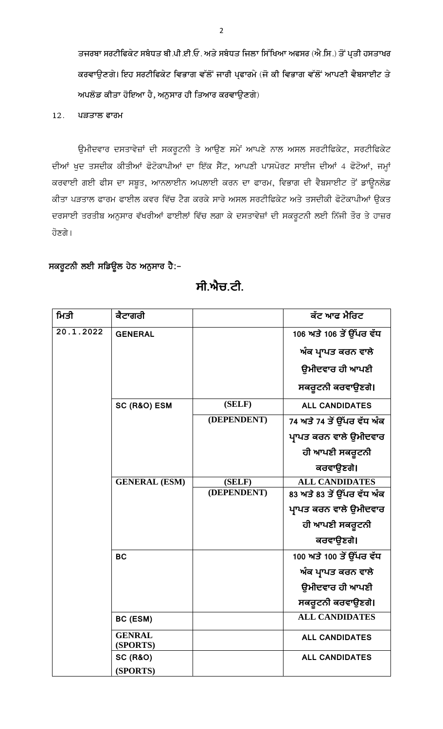ਤਜਰਬਾ ਸਰਟੀਫਿਕੇਟ ਸਬੰਧਤ ਬੀ.ਪੀ.ਈ.ਓ. ਅਤੇ ਸਬੰਧਤ ਜਿਲਾ ਸਿੱਖਿਆ ਅਫਸਰ (ਐ.ਸਿ.) ਤੋਂ ਪ੍ਰਤੀ ਹਸਤਾਖਰ ਕਰਵਾਉਣਗੇ। ਇਹ ਸਰਟੀਫਿਕੇਟ ਵਿਭਾਗ ਵੱਲੋਂ ਜਾਰੀ ਪ੍ਰਫਾਰਮੇ (ਜੋ ਕੀ ਵਿਭਾਗ ਵੱਲੋਂ ਆਪਣੀ ਵੈਬਸਾਈਟ ਤੇ ਅਪਲੋਡ ਕੀਤਾ ਹੋਇਆ ਹੈ, ਅਨੁਸਾਰ ਹੀ ਤਿਆਰ ਕਰਵਾਉਣਗੇ)

ਪੜਤਾਲ ਫਾਰਮ  $12.$ 

ਉਮੀਦਵਾਰ ਦਸਤਾਵੇਜ਼ਾਂ ਦੀ ਸਕਰੂਟਨੀ ਤੇ ਆਉਣ ਸਮੇਂ ਆਪਣੇ ਨਾਲ ਅਸਲ ਸਰਟੀਫਿਕੇਟ, ਸਰਟੀਫਿਕੇਟ ਦੀਆਂ ਖੁਦ ਤਸਦੀਕ ਕੀਤੀਆਂ ਫੋਟੋਕਾਪੀਆਂ ਦਾ ਇੱਕ ਸੈਂਟ, ਆਪਣੀ ਪਾਸਪੋਰਟ ਸਾਈਜ ਦੀਆਂ 4 ਫੋਟੋਆਂ, ਜਮ੍ਹਾਂ ਕਰਵਾਈ ਗਈ ਫੀਸ ਦਾ ਸਬੂਤ, ਆਨਲਾਈਨ ਅਪਲਾਈ ਕਰਨ ਦਾ ਫਾਰਮ, ਵਿਭਾਗ ਦੀ ਵੈਬਸਾਈਟ ਤੋਂ ਡਾਊਨਲੋਡ ਕੀਤਾ ਪੜਤਾਲ ਫਾਰਮ ਫਾਈਲ ਕਵਰ ਵਿੱਚ ਟੈਗ ਕਰਕੇ ਸਾਰੇ ਅਸਲ ਸਰਟੀਫਿਕੇਟ ਅਤੇ ਤਸਦੀਕੀ ਫੋਟੋਕਾਪੀਆਂ ਉਕਤ ਦਰਸਾਈ ਤਰਤੀਬ ਅਨੁਸਾਰ ਵੱਖਰੀਆਂ ਫਾਈਲਾਂ ਵਿੱਚ ਲਗਾ ਕੇ ਦਸਤਾਵੇਜ਼ਾਂ ਦੀ ਸਕਰੂਟਨੀ ਲਈ ਨਿੱਜੀ ਤੌਰ ਤੇ ਹਾਜ਼ਰ ਹੋਣਗੇ।

## ਸਕਰੂਟਨੀ ਲਈ ਸਡਿਊਲ ਹੇਠ ਅਨੁਸਾਰ ਹੈ:-

| ਮਿਤੀ      | ਕੈਟਾਗਰੀ                   |             | ਕੱਟ ਆਫ ਮੈਰਿਟ               |
|-----------|---------------------------|-------------|----------------------------|
| 20.1.2022 | <b>GENERAL</b>            |             | 106 ਅਤੇ 106 ਤੋਂ ਉੱਪਰ ਵੱਧ   |
|           |                           |             | ਅੰਕ ਪ੍ਰਾਪਤ ਕਰਨ ਵਾਲੇ        |
|           |                           |             | ਉਮੀਦਵਾਰ ਹੀ ਆਪਣੀ            |
|           |                           |             | ਸਕਰੁਟਨੀ ਕਰਵਾਉਣਗੇ।          |
|           | SC (R&O) ESM              | (SELF)      | <b>ALL CANDIDATES</b>      |
|           |                           | (DEPENDENT) | 74 ਅਤੇ 74 ਤੋਂ ਉੱਪਰ ਵੱਧ ਅੰਕ |
|           |                           |             | ਪ੍ਰਾਪਤ ਕਰਨ ਵਾਲੇ ਉਮੀਦਵਾਰ    |
|           |                           |             | ਹੀ ਆਪਣੀ ਸਕਰੂਟਨੀ            |
|           |                           |             | ਕਰਵਾਉਣਗੇ।                  |
|           | <b>GENERAL (ESM)</b>      | (SELF)      | <b>ALL CANDIDATES</b>      |
|           |                           | (DEPENDENT) | 83 ਅਤੇ 83 ਤੋਂ ਉੱਪਰ ਵੱਧ ਅੰਕ |
|           |                           |             | ਪ੍ਰਾਪਤ ਕਰਨ ਵਾਲੇ ਉਮੀਦਵਾਰ    |
|           |                           |             | ਹੀ ਆਪਣੀ ਸਕਰੂਟਨੀ            |
|           |                           |             | ਕਰਵਾਉਣਗੇ।                  |
|           | <b>BC</b>                 |             | 100 ਅਤੇ 100 ਤੋਂ ਉੱਪਰ ਵੱਧ   |
|           |                           |             | ਅੰਕ ਪ੍ਰਾਪਤ ਕਰਨ ਵਾਲੇ        |
|           |                           |             | ਉਮੀਦਵਾਰ ਹੀ ਆਪਣੀ            |
|           |                           |             | ਸਕਰੁਟਨੀ ਕਰਵਾਉਣਗੇ।          |
|           | BC (ESM)                  |             | <b>ALL CANDIDATES</b>      |
|           | <b>GENRAL</b><br>(SPORTS) |             | <b>ALL CANDIDATES</b>      |
|           | <b>SC (R&amp;O)</b>       |             | <b>ALL CANDIDATES</b>      |
|           | (SPORTS)                  |             |                            |

ਸੀ.ਐਚ.ਟੀ.